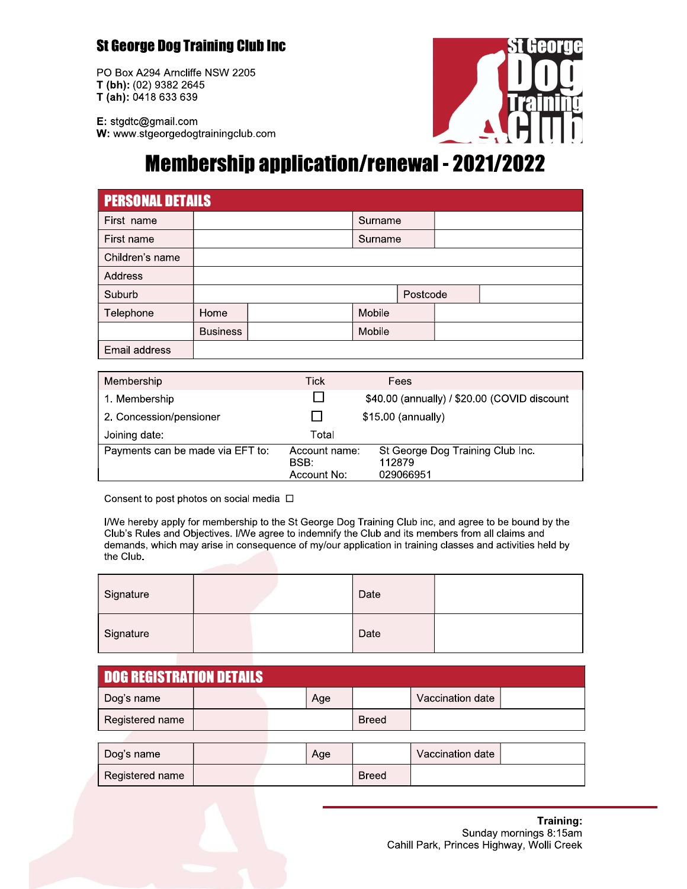### **St George Dog Training Club Inc**

PO Box A294 Arncliffe NSW 2205 T (bh): (02) 9382 2645 T (ah): 0418 633 639



E: stgdtc@gmail.com W: www.stgeorgedogtrainingclub.com

# **Membership application/renewal - 2021/2022**

| <b>PERSONAL DETAILS</b> |                 |  |         |          |  |  |  |
|-------------------------|-----------------|--|---------|----------|--|--|--|
| First name              |                 |  | Surname |          |  |  |  |
| First name              |                 |  | Surname |          |  |  |  |
| Children's name         |                 |  |         |          |  |  |  |
| <b>Address</b>          |                 |  |         |          |  |  |  |
| Suburb                  |                 |  |         | Postcode |  |  |  |
| Telephone               | Home            |  | Mobile  |          |  |  |  |
|                         | <b>Business</b> |  | Mobile  |          |  |  |  |
| Email address           |                 |  |         |          |  |  |  |

| Membership                       | Tick                                 | Fees                                                    |
|----------------------------------|--------------------------------------|---------------------------------------------------------|
| 1. Membership                    |                                      | \$40.00 (annually) / \$20.00 (COVID discount            |
| 2. Concession/pensioner          |                                      | $$15.00$ (annually)                                     |
| Joining date:                    | Total                                |                                                         |
| Payments can be made via EFT to: | Account name:<br>BSB:<br>Account No: | St George Dog Training Club Inc.<br>112879<br>029066951 |

Consent to post photos on social media  $\Box$ 

I/We hereby apply for membership to the St George Dog Training Club inc, and agree to be bound by the Club's Rules and Objectives. I/We agree to indemnify the Club and its members from all claims and demands, which may arise in consequence of my/our application in training classes and activities held by the Club.

| Signature |  | Date |  |
|-----------|--|------|--|
| Signature |  | Date |  |

| <b>DOG REGISTRATION DETAILS</b> |  |  |     |       |                  |  |  |
|---------------------------------|--|--|-----|-------|------------------|--|--|
| ∣ Dog's name                    |  |  | Age |       | Vaccination date |  |  |
| Registered name                 |  |  |     | Breed |                  |  |  |

| Dog's name      |  | Age |       | Vaccination date |  |
|-----------------|--|-----|-------|------------------|--|
| Registered name |  |     | Breed |                  |  |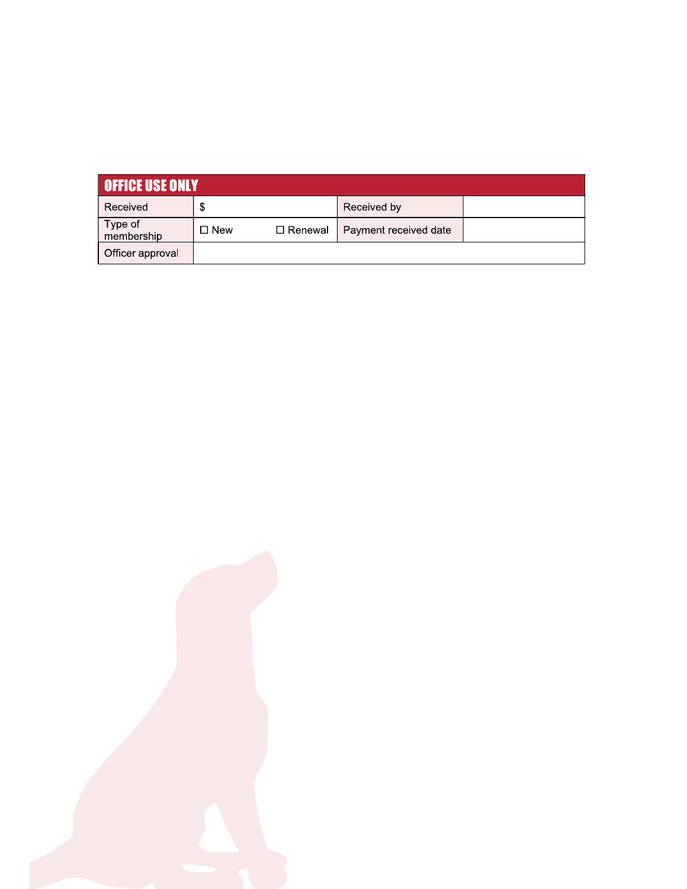| <b>OFFICE USE ONLY</b> |            |           |                       |  |  |  |
|------------------------|------------|-----------|-----------------------|--|--|--|
| Received               | \$         |           | Received by           |  |  |  |
| Type of<br>membership  | $\Box$ New | □ Renewal | Payment received date |  |  |  |
| Officer approval       |            |           |                       |  |  |  |